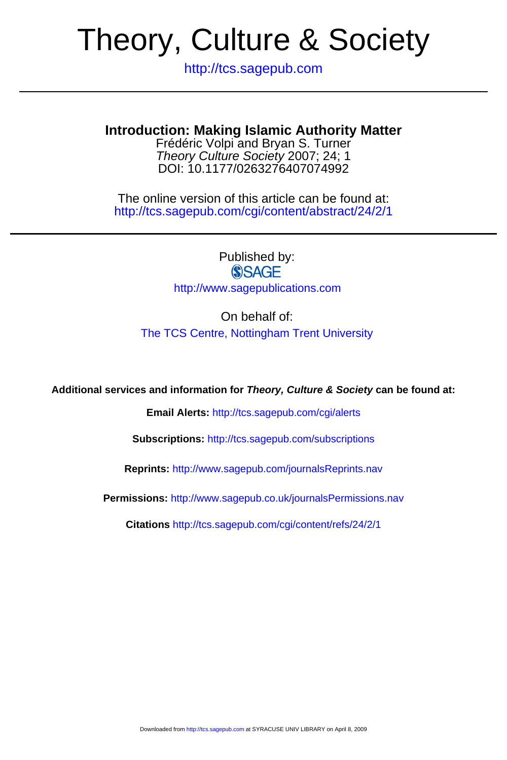# Theory, Culture & Society

http://tcs.sagepub.com

### **Introduction: Making Islamic Authority Matter**

DOI: 10.1177/0263276407074992 Theory Culture Society 2007; 24; 1 Frédéric Volpi and Bryan S. Turner

http://tcs.sagepub.com/cgi/content/abstract/24/2/1 The online version of this article can be found at:

> Published by:<br>
> SAGE http://www.sagepublications.com

On behalf of: [The TCS Centre, Nottingham Trent University](http://ntu.ac.uk/research/school_research/hum/29480gp.html)

**Additional services and information for Theory, Culture & Society can be found at:**

**Email Alerts:** <http://tcs.sagepub.com/cgi/alerts>

**Subscriptions:** <http://tcs.sagepub.com/subscriptions>

**Reprints:** <http://www.sagepub.com/journalsReprints.nav>

**Permissions:** <http://www.sagepub.co.uk/journalsPermissions.nav>

**Citations** <http://tcs.sagepub.com/cgi/content/refs/24/2/1>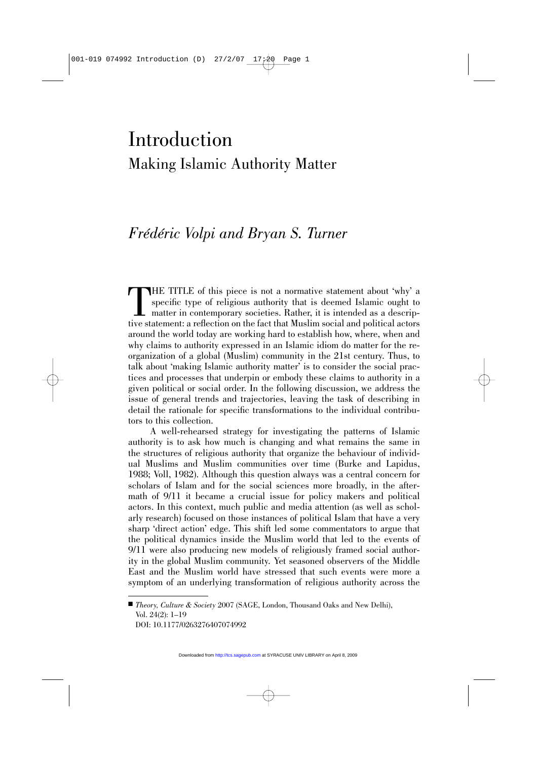## Introduction Making Islamic Authority Matter

### *Frédéric Volpi and Bryan S. Turner*

THE TITLE of this piece is not a normative statement about 'why' a specific type of religious authority that is deemed Islamic ought to matter in contemporary societies. Rather, it is intended as a descriptive statement: a specific type of religious authority that is deemed Islamic ought to matter in contemporary societies. Rather, it is intended as a descriptive statement: a reflection on the fact that Muslim social and political actors around the world today are working hard to establish how, where, when and why claims to authority expressed in an Islamic idiom do matter for the reorganization of a global (Muslim) community in the 21st century. Thus, to talk about 'making Islamic authority matter' is to consider the social practices and processes that underpin or embody these claims to authority in a given political or social order. In the following discussion, we address the issue of general trends and trajectories, leaving the task of describing in detail the rationale for specific transformations to the individual contributors to this collection.

A well-rehearsed strategy for investigating the patterns of Islamic authority is to ask how much is changing and what remains the same in the structures of religious authority that organize the behaviour of individual Muslims and Muslim communities over time (Burke and Lapidus, 1988; Voll, 1982). Although this question always was a central concern for scholars of Islam and for the social sciences more broadly, in the aftermath of 9/11 it became a crucial issue for policy makers and political actors. In this context, much public and media attention (as well as scholarly research) focused on those instances of political Islam that have a very sharp 'direct action' edge. This shift led some commentators to argue that the political dynamics inside the Muslim world that led to the events of 9/11 were also producing new models of religiously framed social authority in the global Muslim community. Yet seasoned observers of the Middle East and the Muslim world have stressed that such events were more a symptom of an underlying transformation of religious authority across the

<sup>■</sup> *Theory, Culture & Society* 2007 (SAGE, London, Thousand Oaks and New Delhi), Vol. 24(2): 1–19 DOI: 10.1177/0263276407074992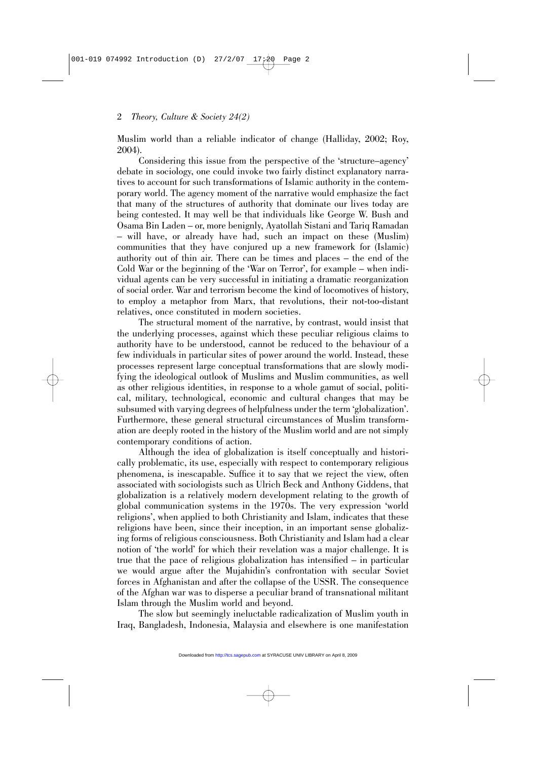Muslim world than a reliable indicator of change (Halliday, 2002; Roy, 2004).

Considering this issue from the perspective of the 'structure–agency' debate in sociology, one could invoke two fairly distinct explanatory narratives to account for such transformations of Islamic authority in the contemporary world. The agency moment of the narrative would emphasize the fact that many of the structures of authority that dominate our lives today are being contested. It may well be that individuals like George W. Bush and Osama Bin Laden – or, more benignly, Ayatollah Sistani and Tariq Ramadan – will have, or already have had, such an impact on these (Muslim) communities that they have conjured up a new framework for (Islamic) authority out of thin air. There can be times and places – the end of the Cold War or the beginning of the 'War on Terror', for example – when individual agents can be very successful in initiating a dramatic reorganization of social order. War and terrorism become the kind of locomotives of history, to employ a metaphor from Marx, that revolutions, their not-too-distant relatives, once constituted in modern societies.

The structural moment of the narrative, by contrast, would insist that the underlying processes, against which these peculiar religious claims to authority have to be understood, cannot be reduced to the behaviour of a few individuals in particular sites of power around the world. Instead, these processes represent large conceptual transformations that are slowly modifying the ideological outlook of Muslims and Muslim communities, as well as other religious identities, in response to a whole gamut of social, political, military, technological, economic and cultural changes that may be subsumed with varying degrees of helpfulness under the term 'globalization'. Furthermore, these general structural circumstances of Muslim transformation are deeply rooted in the history of the Muslim world and are not simply contemporary conditions of action.

Although the idea of globalization is itself conceptually and historically problematic, its use, especially with respect to contemporary religious phenomena, is inescapable. Suffice it to say that we reject the view, often associated with sociologists such as Ulrich Beck and Anthony Giddens, that globalization is a relatively modern development relating to the growth of global communication systems in the 1970s. The very expression 'world religions', when applied to both Christianity and Islam, indicates that these religions have been, since their inception, in an important sense globalizing forms of religious consciousness. Both Christianity and Islam had a clear notion of 'the world' for which their revelation was a major challenge. It is true that the pace of religious globalization has intensified – in particular we would argue after the Mujahidin's confrontation with secular Soviet forces in Afghanistan and after the collapse of the USSR. The consequence of the Afghan war was to disperse a peculiar brand of transnational militant Islam through the Muslim world and beyond.

The slow but seemingly ineluctable radicalization of Muslim youth in Iraq, Bangladesh, Indonesia, Malaysia and elsewhere is one manifestation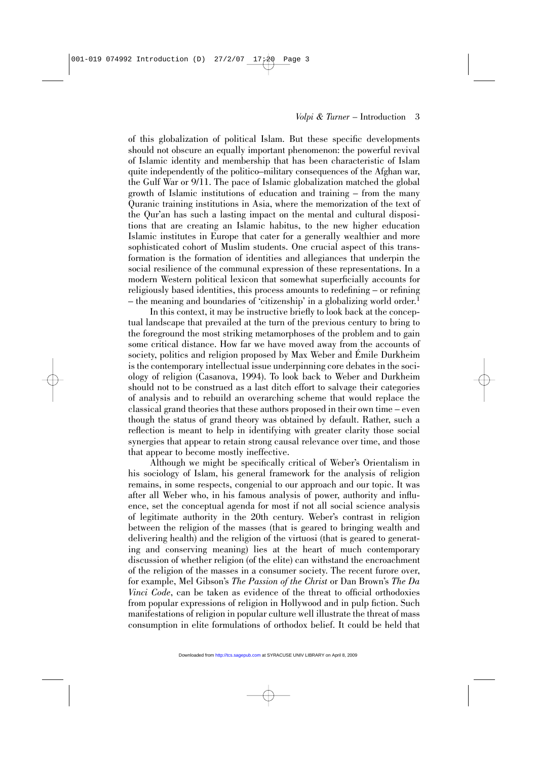of this globalization of political Islam. But these specific developments should not obscure an equally important phenomenon: the powerful revival of Islamic identity and membership that has been characteristic of Islam quite independently of the politico–military consequences of the Afghan war, the Gulf War or 9/11. The pace of Islamic globalization matched the global growth of Islamic institutions of education and training – from the many Quranic training institutions in Asia, where the memorization of the text of the Qur'an has such a lasting impact on the mental and cultural dispositions that are creating an Islamic habitus, to the new higher education Islamic institutes in Europe that cater for a generally wealthier and more sophisticated cohort of Muslim students. One crucial aspect of this transformation is the formation of identities and allegiances that underpin the social resilience of the communal expression of these representations. In a modern Western political lexicon that somewhat superficially accounts for religiously based identities, this process amounts to redefining – or refining – the meaning and boundaries of 'citizenship' in a globalizing world order.<sup>1</sup>

In this context, it may be instructive briefly to look back at the conceptual landscape that prevailed at the turn of the previous century to bring to the foreground the most striking metamorphoses of the problem and to gain some critical distance. How far we have moved away from the accounts of society, politics and religion proposed by Max Weber and Émile Durkheim is the contemporary intellectual issue underpinning core debates in the sociology of religion (Casanova, 1994). To look back to Weber and Durkheim should not to be construed as a last ditch effort to salvage their categories of analysis and to rebuild an overarching scheme that would replace the classical grand theories that these authors proposed in their own time – even though the status of grand theory was obtained by default. Rather, such a reflection is meant to help in identifying with greater clarity those social synergies that appear to retain strong causal relevance over time, and those that appear to become mostly ineffective.

Although we might be specifically critical of Weber's Orientalism in his sociology of Islam, his general framework for the analysis of religion remains, in some respects, congenial to our approach and our topic. It was after all Weber who, in his famous analysis of power, authority and influence, set the conceptual agenda for most if not all social science analysis of legitimate authority in the 20th century. Weber's contrast in religion between the religion of the masses (that is geared to bringing wealth and delivering health) and the religion of the virtuosi (that is geared to generating and conserving meaning) lies at the heart of much contemporary discussion of whether religion (of the elite) can withstand the encroachment of the religion of the masses in a consumer society. The recent furore over, for example, Mel Gibson's *The Passion of the Christ* or Dan Brown's *The Da Vinci Code*, can be taken as evidence of the threat to official orthodoxies from popular expressions of religion in Hollywood and in pulp fiction. Such manifestations of religion in popular culture well illustrate the threat of mass consumption in elite formulations of orthodox belief. It could be held that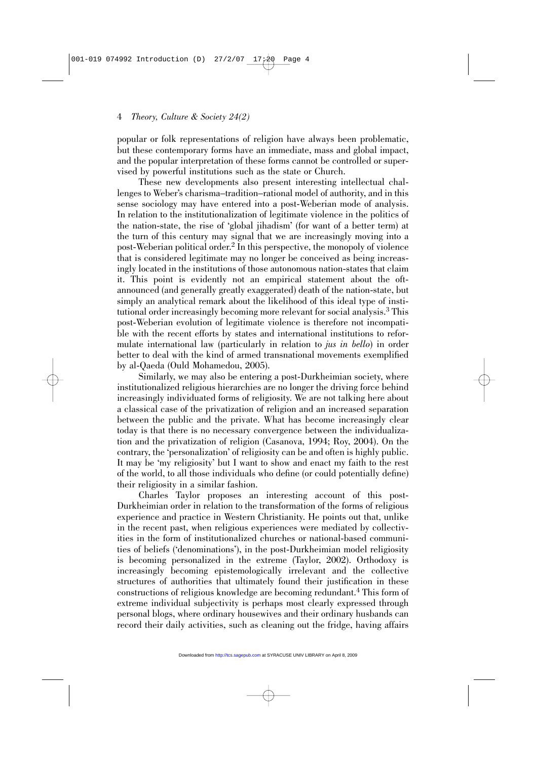popular or folk representations of religion have always been problematic, but these contemporary forms have an immediate, mass and global impact, and the popular interpretation of these forms cannot be controlled or supervised by powerful institutions such as the state or Church.

These new developments also present interesting intellectual challenges to Weber's charisma–tradition–rational model of authority, and in this sense sociology may have entered into a post-Weberian mode of analysis. In relation to the institutionalization of legitimate violence in the politics of the nation-state, the rise of 'global jihadism' (for want of a better term) at the turn of this century may signal that we are increasingly moving into a post-Weberian political order.2 In this perspective, the monopoly of violence that is considered legitimate may no longer be conceived as being increasingly located in the institutions of those autonomous nation-states that claim it. This point is evidently not an empirical statement about the oftannounced (and generally greatly exaggerated) death of the nation-state, but simply an analytical remark about the likelihood of this ideal type of institutional order increasingly becoming more relevant for social analysis.3 This post-Weberian evolution of legitimate violence is therefore not incompatible with the recent efforts by states and international institutions to reformulate international law (particularly in relation to *jus in bello*) in order better to deal with the kind of armed transnational movements exemplified by al-Qaeda (Ould Mohamedou, 2005).

Similarly, we may also be entering a post-Durkheimian society, where institutionalized religious hierarchies are no longer the driving force behind increasingly individuated forms of religiosity. We are not talking here about a classical case of the privatization of religion and an increased separation between the public and the private. What has become increasingly clear today is that there is no necessary convergence between the individualization and the privatization of religion (Casanova, 1994; Roy, 2004). On the contrary, the 'personalization' of religiosity can be and often is highly public. It may be 'my religiosity' but I want to show and enact my faith to the rest of the world, to all those individuals who define (or could potentially define) their religiosity in a similar fashion.

Charles Taylor proposes an interesting account of this post-Durkheimian order in relation to the transformation of the forms of religious experience and practice in Western Christianity. He points out that, unlike in the recent past, when religious experiences were mediated by collectivities in the form of institutionalized churches or national-based communities of beliefs ('denominations'), in the post-Durkheimian model religiosity is becoming personalized in the extreme (Taylor, 2002). Orthodoxy is increasingly becoming epistemologically irrelevant and the collective structures of authorities that ultimately found their justification in these constructions of religious knowledge are becoming redundant.4 This form of extreme individual subjectivity is perhaps most clearly expressed through personal blogs, where ordinary housewives and their ordinary husbands can record their daily activities, such as cleaning out the fridge, having affairs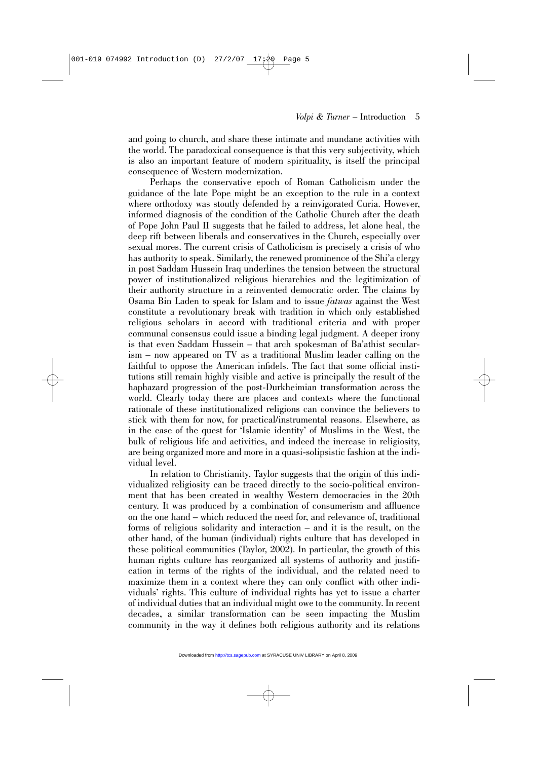and going to church, and share these intimate and mundane activities with the world. The paradoxical consequence is that this very subjectivity, which is also an important feature of modern spirituality, is itself the principal consequence of Western modernization.

Perhaps the conservative epoch of Roman Catholicism under the guidance of the late Pope might be an exception to the rule in a context where orthodoxy was stoutly defended by a reinvigorated Curia. However, informed diagnosis of the condition of the Catholic Church after the death of Pope John Paul II suggests that he failed to address, let alone heal, the deep rift between liberals and conservatives in the Church, especially over sexual mores. The current crisis of Catholicism is precisely a crisis of who has authority to speak. Similarly, the renewed prominence of the Shi'a clergy in post Saddam Hussein Iraq underlines the tension between the structural power of institutionalized religious hierarchies and the legitimization of their authority structure in a reinvented democratic order. The claims by Osama Bin Laden to speak for Islam and to issue *fatwas* against the West constitute a revolutionary break with tradition in which only established religious scholars in accord with traditional criteria and with proper communal consensus could issue a binding legal judgment. A deeper irony is that even Saddam Hussein – that arch spokesman of Ba'athist secularism – now appeared on TV as a traditional Muslim leader calling on the faithful to oppose the American infidels. The fact that some official institutions still remain highly visible and active is principally the result of the haphazard progression of the post-Durkheimian transformation across the world. Clearly today there are places and contexts where the functional rationale of these institutionalized religions can convince the believers to stick with them for now, for practical/instrumental reasons. Elsewhere, as in the case of the quest for 'Islamic identity' of Muslims in the West, the bulk of religious life and activities, and indeed the increase in religiosity, are being organized more and more in a quasi-solipsistic fashion at the individual level.

In relation to Christianity, Taylor suggests that the origin of this individualized religiosity can be traced directly to the socio-political environment that has been created in wealthy Western democracies in the 20th century. It was produced by a combination of consumerism and affluence on the one hand – which reduced the need for, and relevance of, traditional forms of religious solidarity and interaction – and it is the result, on the other hand, of the human (individual) rights culture that has developed in these political communities (Taylor, 2002). In particular, the growth of this human rights culture has reorganized all systems of authority and justification in terms of the rights of the individual, and the related need to maximize them in a context where they can only conflict with other individuals' rights. This culture of individual rights has yet to issue a charter of individual duties that an individual might owe to the community. In recent decades, a similar transformation can be seen impacting the Muslim community in the way it defines both religious authority and its relations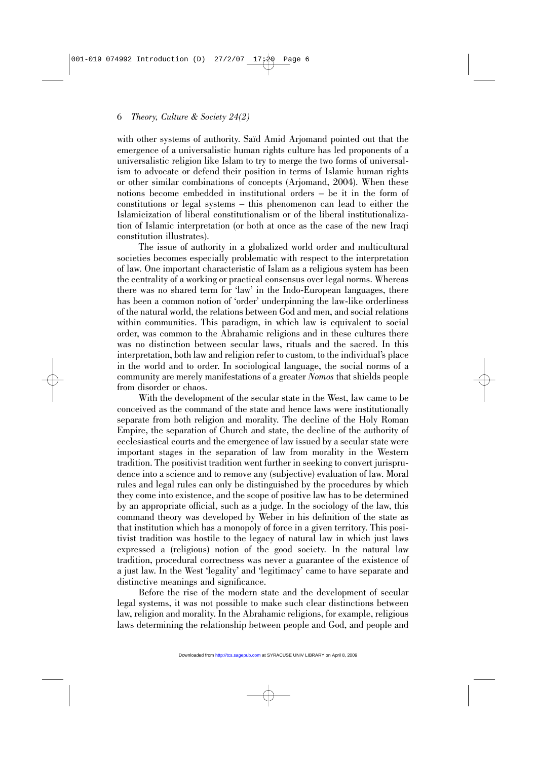with other systems of authority. Saïd Amid Arjomand pointed out that the emergence of a universalistic human rights culture has led proponents of a universalistic religion like Islam to try to merge the two forms of universalism to advocate or defend their position in terms of Islamic human rights or other similar combinations of concepts (Arjomand, 2004). When these notions become embedded in institutional orders – be it in the form of constitutions or legal systems – this phenomenon can lead to either the Islamicization of liberal constitutionalism or of the liberal institutionalization of Islamic interpretation (or both at once as the case of the new Iraqi constitution illustrates).

The issue of authority in a globalized world order and multicultural societies becomes especially problematic with respect to the interpretation of law. One important characteristic of Islam as a religious system has been the centrality of a working or practical consensus over legal norms. Whereas there was no shared term for 'law' in the Indo-European languages, there has been a common notion of 'order' underpinning the law-like orderliness of the natural world, the relations between God and men, and social relations within communities. This paradigm, in which law is equivalent to social order, was common to the Abrahamic religions and in these cultures there was no distinction between secular laws, rituals and the sacred. In this interpretation, both law and religion refer to custom, to the individual's place in the world and to order. In sociological language, the social norms of a community are merely manifestations of a greater *Nomos* that shields people from disorder or chaos.

With the development of the secular state in the West, law came to be conceived as the command of the state and hence laws were institutionally separate from both religion and morality. The decline of the Holy Roman Empire, the separation of Church and state, the decline of the authority of ecclesiastical courts and the emergence of law issued by a secular state were important stages in the separation of law from morality in the Western tradition. The positivist tradition went further in seeking to convert jurisprudence into a science and to remove any (subjective) evaluation of law. Moral rules and legal rules can only be distinguished by the procedures by which they come into existence, and the scope of positive law has to be determined by an appropriate official, such as a judge. In the sociology of the law, this command theory was developed by Weber in his definition of the state as that institution which has a monopoly of force in a given territory. This positivist tradition was hostile to the legacy of natural law in which just laws expressed a (religious) notion of the good society. In the natural law tradition, procedural correctness was never a guarantee of the existence of a just law. In the West 'legality' and 'legitimacy' came to have separate and distinctive meanings and significance.

Before the rise of the modern state and the development of secular legal systems, it was not possible to make such clear distinctions between law, religion and morality. In the Abrahamic religions, for example, religious laws determining the relationship between people and God, and people and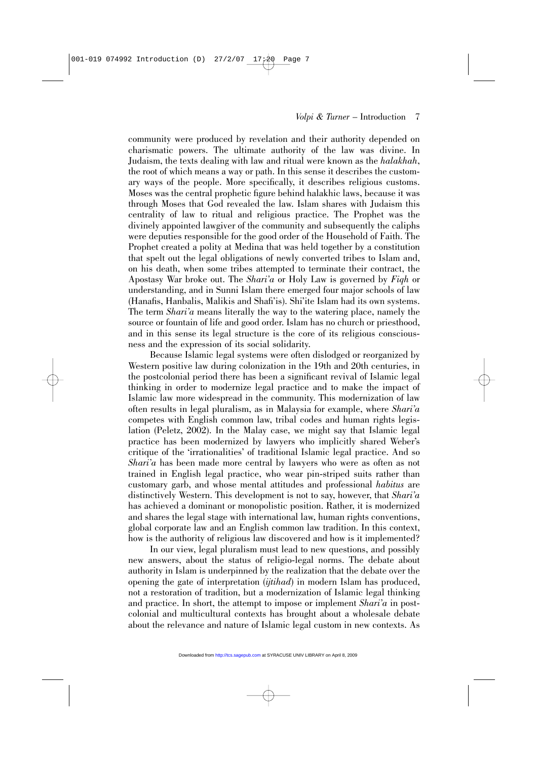community were produced by revelation and their authority depended on charismatic powers. The ultimate authority of the law was divine. In Judaism, the texts dealing with law and ritual were known as the *halakhah*, the root of which means a way or path. In this sense it describes the customary ways of the people. More specifically, it describes religious customs. Moses was the central prophetic figure behind halakhic laws, because it was through Moses that God revealed the law. Islam shares with Judaism this centrality of law to ritual and religious practice. The Prophet was the divinely appointed lawgiver of the community and subsequently the caliphs were deputies responsible for the good order of the Household of Faith. The Prophet created a polity at Medina that was held together by a constitution that spelt out the legal obligations of newly converted tribes to Islam and, on his death, when some tribes attempted to terminate their contract, the Apostasy War broke out. The *Shari'a* or Holy Law is governed by *Fiqh* or understanding, and in Sunni Islam there emerged four major schools of law (Hanafis, Hanbalis, Malikis and Shafi'is). Shi'ite Islam had its own systems. The term *Shari'a* means literally the way to the watering place, namely the source or fountain of life and good order. Islam has no church or priesthood, and in this sense its legal structure is the core of its religious consciousness and the expression of its social solidarity.

Because Islamic legal systems were often dislodged or reorganized by Western positive law during colonization in the 19th and 20th centuries, in the postcolonial period there has been a significant revival of Islamic legal thinking in order to modernize legal practice and to make the impact of Islamic law more widespread in the community. This modernization of law often results in legal pluralism, as in Malaysia for example, where *Shari'a* competes with English common law, tribal codes and human rights legislation (Peletz, 2002). In the Malay case, we might say that Islamic legal practice has been modernized by lawyers who implicitly shared Weber's critique of the 'irrationalities' of traditional Islamic legal practice. And so *Shari'a* has been made more central by lawyers who were as often as not trained in English legal practice, who wear pin-striped suits rather than customary garb, and whose mental attitudes and professional *habitus* are distinctively Western. This development is not to say, however, that *Shari'a* has achieved a dominant or monopolistic position. Rather, it is modernized and shares the legal stage with international law, human rights conventions, global corporate law and an English common law tradition. In this context, how is the authority of religious law discovered and how is it implemented?

In our view, legal pluralism must lead to new questions, and possibly new answers, about the status of religio-legal norms. The debate about authority in Islam is underpinned by the realization that the debate over the opening the gate of interpretation (*ijtihad*) in modern Islam has produced, not a restoration of tradition, but a modernization of Islamic legal thinking and practice. In short, the attempt to impose or implement *Shari'a* in postcolonial and multicultural contexts has brought about a wholesale debate about the relevance and nature of Islamic legal custom in new contexts. As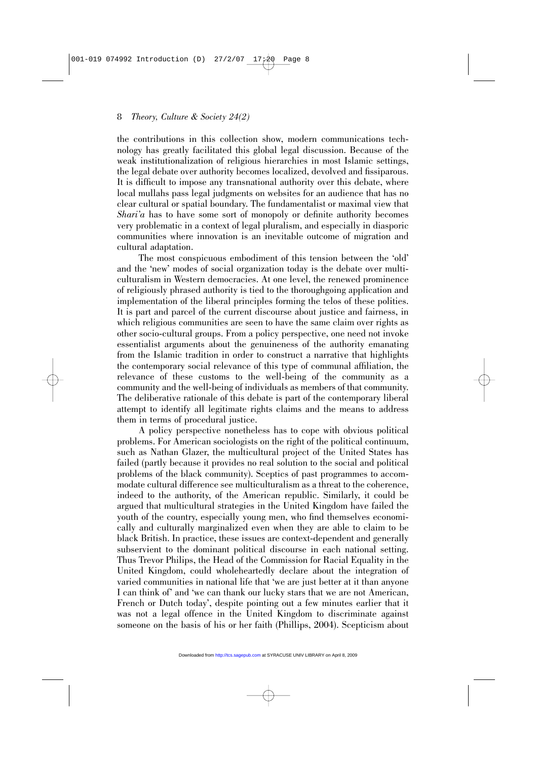the contributions in this collection show, modern communications technology has greatly facilitated this global legal discussion. Because of the weak institutionalization of religious hierarchies in most Islamic settings, the legal debate over authority becomes localized, devolved and fissiparous. It is difficult to impose any transnational authority over this debate, where local mullahs pass legal judgments on websites for an audience that has no clear cultural or spatial boundary. The fundamentalist or maximal view that *Shari'a* has to have some sort of monopoly or definite authority becomes very problematic in a context of legal pluralism, and especially in diasporic communities where innovation is an inevitable outcome of migration and cultural adaptation.

The most conspicuous embodiment of this tension between the 'old' and the 'new' modes of social organization today is the debate over multiculturalism in Western democracies. At one level, the renewed prominence of religiously phrased authority is tied to the thoroughgoing application and implementation of the liberal principles forming the telos of these polities. It is part and parcel of the current discourse about justice and fairness, in which religious communities are seen to have the same claim over rights as other socio-cultural groups. From a policy perspective, one need not invoke essentialist arguments about the genuineness of the authority emanating from the Islamic tradition in order to construct a narrative that highlights the contemporary social relevance of this type of communal affiliation, the relevance of these customs to the well-being of the community as a community and the well-being of individuals as members of that community. The deliberative rationale of this debate is part of the contemporary liberal attempt to identify all legitimate rights claims and the means to address them in terms of procedural justice.

A policy perspective nonetheless has to cope with obvious political problems. For American sociologists on the right of the political continuum, such as Nathan Glazer, the multicultural project of the United States has failed (partly because it provides no real solution to the social and political problems of the black community). Sceptics of past programmes to accommodate cultural difference see multiculturalism as a threat to the coherence, indeed to the authority, of the American republic. Similarly, it could be argued that multicultural strategies in the United Kingdom have failed the youth of the country, especially young men, who find themselves economically and culturally marginalized even when they are able to claim to be black British. In practice, these issues are context-dependent and generally subservient to the dominant political discourse in each national setting. Thus Trevor Philips, the Head of the Commission for Racial Equality in the United Kingdom, could wholeheartedly declare about the integration of varied communities in national life that 'we are just better at it than anyone I can think of' and 'we can thank our lucky stars that we are not American, French or Dutch today', despite pointing out a few minutes earlier that it was not a legal offence in the United Kingdom to discriminate against someone on the basis of his or her faith (Phillips, 2004). Scepticism about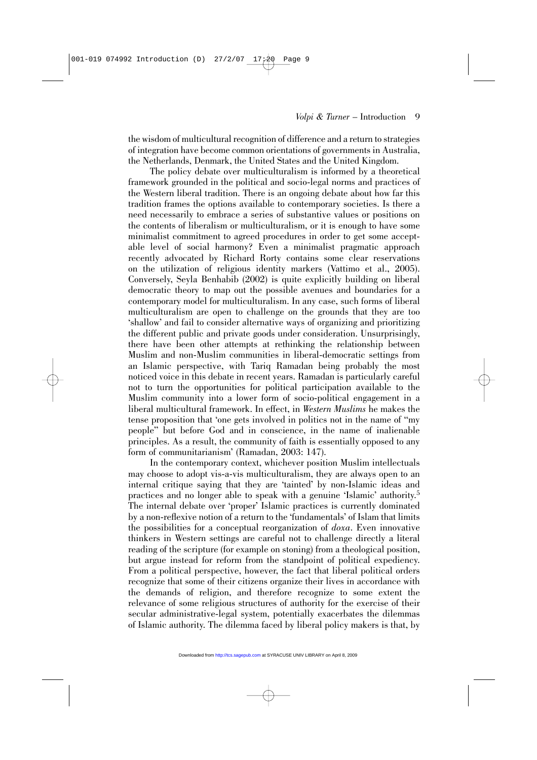the wisdom of multicultural recognition of difference and a return to strategies of integration have become common orientations of governments in Australia, the Netherlands, Denmark, the United States and the United Kingdom.

The policy debate over multiculturalism is informed by a theoretical framework grounded in the political and socio-legal norms and practices of the Western liberal tradition. There is an ongoing debate about how far this tradition frames the options available to contemporary societies. Is there a need necessarily to embrace a series of substantive values or positions on the contents of liberalism or multiculturalism, or it is enough to have some minimalist commitment to agreed procedures in order to get some acceptable level of social harmony? Even a minimalist pragmatic approach recently advocated by Richard Rorty contains some clear reservations on the utilization of religious identity markers (Vattimo et al., 2005). Conversely, Seyla Benhabib (2002) is quite explicitly building on liberal democratic theory to map out the possible avenues and boundaries for a contemporary model for multiculturalism. In any case, such forms of liberal multiculturalism are open to challenge on the grounds that they are too 'shallow' and fail to consider alternative ways of organizing and prioritizing the different public and private goods under consideration. Unsurprisingly, there have been other attempts at rethinking the relationship between Muslim and non-Muslim communities in liberal-democratic settings from an Islamic perspective, with Tariq Ramadan being probably the most noticed voice in this debate in recent years. Ramadan is particularly careful not to turn the opportunities for political participation available to the Muslim community into a lower form of socio-political engagement in a liberal multicultural framework. In effect, in *Western Muslims* he makes the tense proposition that 'one gets involved in politics not in the name of "my people" but before God and in conscience, in the name of inalienable principles. As a result, the community of faith is essentially opposed to any form of communitarianism' (Ramadan, 2003: 147).

In the contemporary context, whichever position Muslim intellectuals may choose to adopt vis-a-vis multiculturalism, they are always open to an internal critique saying that they are 'tainted' by non-Islamic ideas and practices and no longer able to speak with a genuine 'Islamic' authority.5 The internal debate over 'proper' Islamic practices is currently dominated by a non-reflexive notion of a return to the 'fundamentals' of Islam that limits the possibilities for a conceptual reorganization of *doxa*. Even innovative thinkers in Western settings are careful not to challenge directly a literal reading of the scripture (for example on stoning) from a theological position, but argue instead for reform from the standpoint of political expediency. From a political perspective, however, the fact that liberal political orders recognize that some of their citizens organize their lives in accordance with the demands of religion, and therefore recognize to some extent the relevance of some religious structures of authority for the exercise of their secular administrative-legal system, potentially exacerbates the dilemmas of Islamic authority. The dilemma faced by liberal policy makers is that, by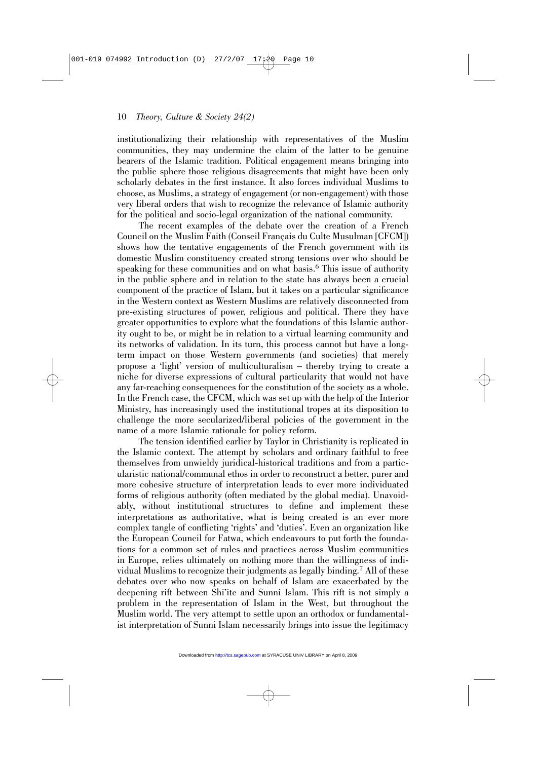institutionalizing their relationship with representatives of the Muslim communities, they may undermine the claim of the latter to be genuine bearers of the Islamic tradition. Political engagement means bringing into the public sphere those religious disagreements that might have been only scholarly debates in the first instance. It also forces individual Muslims to choose, as Muslims, a strategy of engagement (or non-engagement) with those very liberal orders that wish to recognize the relevance of Islamic authority for the political and socio-legal organization of the national community.

The recent examples of the debate over the creation of a French Council on the Muslim Faith (Conseil Français du Culte Musulman [CFCM]) shows how the tentative engagements of the French government with its domestic Muslim constituency created strong tensions over who should be speaking for these communities and on what basis.<sup>6</sup> This issue of authority in the public sphere and in relation to the state has always been a crucial component of the practice of Islam, but it takes on a particular significance in the Western context as Western Muslims are relatively disconnected from pre-existing structures of power, religious and political. There they have greater opportunities to explore what the foundations of this Islamic authority ought to be, or might be in relation to a virtual learning community and its networks of validation. In its turn, this process cannot but have a longterm impact on those Western governments (and societies) that merely propose a 'light' version of multiculturalism – thereby trying to create a niche for diverse expressions of cultural particularity that would not have any far-reaching consequences for the constitution of the society as a whole. In the French case, the CFCM, which was set up with the help of the Interior Ministry, has increasingly used the institutional tropes at its disposition to challenge the more secularized/liberal policies of the government in the name of a more Islamic rationale for policy reform.

The tension identified earlier by Taylor in Christianity is replicated in the Islamic context. The attempt by scholars and ordinary faithful to free themselves from unwieldy juridical-historical traditions and from a particularistic national/communal ethos in order to reconstruct a better, purer and more cohesive structure of interpretation leads to ever more individuated forms of religious authority (often mediated by the global media). Unavoidably, without institutional structures to define and implement these interpretations as authoritative, what is being created is an ever more complex tangle of conflicting 'rights' and 'duties'. Even an organization like the European Council for Fatwa, which endeavours to put forth the foundations for a common set of rules and practices across Muslim communities in Europe, relies ultimately on nothing more than the willingness of individual Muslims to recognize their judgments as legally binding.7 All of these debates over who now speaks on behalf of Islam are exacerbated by the deepening rift between Shi'ite and Sunni Islam. This rift is not simply a problem in the representation of Islam in the West, but throughout the Muslim world. The very attempt to settle upon an orthodox or fundamentalist interpretation of Sunni Islam necessarily brings into issue the legitimacy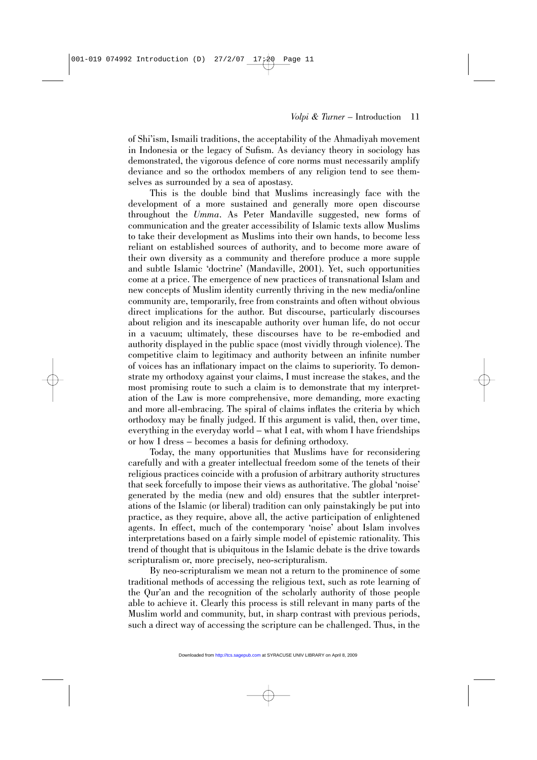of Shi'ism, Ismaili traditions, the acceptability of the Ahmadiyah movement in Indonesia or the legacy of Sufism. As deviancy theory in sociology has demonstrated, the vigorous defence of core norms must necessarily amplify deviance and so the orthodox members of any religion tend to see themselves as surrounded by a sea of apostasy.

This is the double bind that Muslims increasingly face with the development of a more sustained and generally more open discourse throughout the *Umma*. As Peter Mandaville suggested, new forms of communication and the greater accessibility of Islamic texts allow Muslims to take their development as Muslims into their own hands, to become less reliant on established sources of authority, and to become more aware of their own diversity as a community and therefore produce a more supple and subtle Islamic 'doctrine' (Mandaville, 2001). Yet, such opportunities come at a price. The emergence of new practices of transnational Islam and new concepts of Muslim identity currently thriving in the new media/online community are, temporarily, free from constraints and often without obvious direct implications for the author. But discourse, particularly discourses about religion and its inescapable authority over human life, do not occur in a vacuum; ultimately, these discourses have to be re-embodied and authority displayed in the public space (most vividly through violence). The competitive claim to legitimacy and authority between an infinite number of voices has an inflationary impact on the claims to superiority. To demonstrate my orthodoxy against your claims, I must increase the stakes, and the most promising route to such a claim is to demonstrate that my interpretation of the Law is more comprehensive, more demanding, more exacting and more all-embracing. The spiral of claims inflates the criteria by which orthodoxy may be finally judged. If this argument is valid, then, over time, everything in the everyday world – what I eat, with whom I have friendships or how I dress – becomes a basis for defining orthodoxy.

Today, the many opportunities that Muslims have for reconsidering carefully and with a greater intellectual freedom some of the tenets of their religious practices coincide with a profusion of arbitrary authority structures that seek forcefully to impose their views as authoritative. The global 'noise' generated by the media (new and old) ensures that the subtler interpretations of the Islamic (or liberal) tradition can only painstakingly be put into practice, as they require, above all, the active participation of enlightened agents. In effect, much of the contemporary 'noise' about Islam involves interpretations based on a fairly simple model of epistemic rationality. This trend of thought that is ubiquitous in the Islamic debate is the drive towards scripturalism or, more precisely, neo-scripturalism.

By neo-scripturalism we mean not a return to the prominence of some traditional methods of accessing the religious text, such as rote learning of the Qur'an and the recognition of the scholarly authority of those people able to achieve it. Clearly this process is still relevant in many parts of the Muslim world and community, but, in sharp contrast with previous periods, such a direct way of accessing the scripture can be challenged. Thus, in the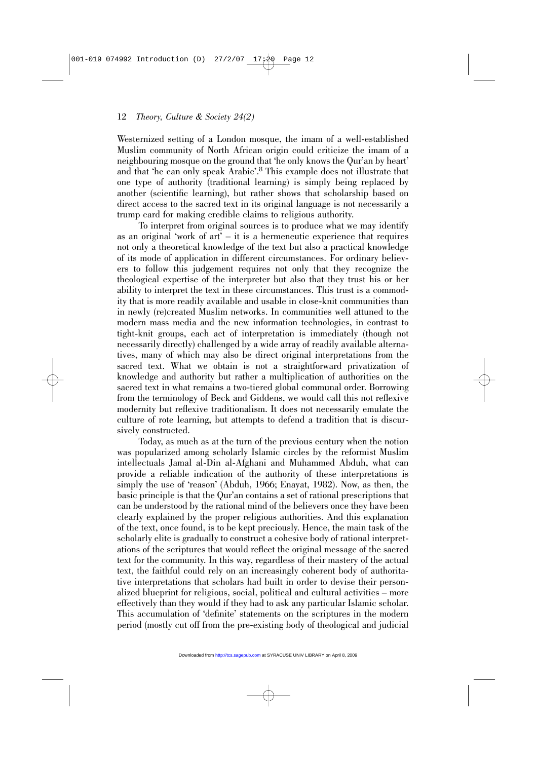Westernized setting of a London mosque, the imam of a well-established Muslim community of North African origin could criticize the imam of a neighbouring mosque on the ground that 'he only knows the Qur'an by heart' and that 'he can only speak Arabic'.8 This example does not illustrate that one type of authority (traditional learning) is simply being replaced by another (scientific learning), but rather shows that scholarship based on direct access to the sacred text in its original language is not necessarily a trump card for making credible claims to religious authority.

To interpret from original sources is to produce what we may identify as an original 'work of art' – it is a hermeneutic experience that requires not only a theoretical knowledge of the text but also a practical knowledge of its mode of application in different circumstances. For ordinary believers to follow this judgement requires not only that they recognize the theological expertise of the interpreter but also that they trust his or her ability to interpret the text in these circumstances. This trust is a commodity that is more readily available and usable in close-knit communities than in newly (re)created Muslim networks. In communities well attuned to the modern mass media and the new information technologies, in contrast to tight-knit groups, each act of interpretation is immediately (though not necessarily directly) challenged by a wide array of readily available alternatives, many of which may also be direct original interpretations from the sacred text. What we obtain is not a straightforward privatization of knowledge and authority but rather a multiplication of authorities on the sacred text in what remains a two-tiered global communal order. Borrowing from the terminology of Beck and Giddens, we would call this not reflexive modernity but reflexive traditionalism. It does not necessarily emulate the culture of rote learning, but attempts to defend a tradition that is discursively constructed.

Today, as much as at the turn of the previous century when the notion was popularized among scholarly Islamic circles by the reformist Muslim intellectuals Jamal al-Din al-Afghani and Muhammed Abduh, what can provide a reliable indication of the authority of these interpretations is simply the use of 'reason' (Abduh, 1966; Enayat, 1982). Now, as then, the basic principle is that the Qur'an contains a set of rational prescriptions that can be understood by the rational mind of the believers once they have been clearly explained by the proper religious authorities. And this explanation of the text, once found, is to be kept preciously. Hence, the main task of the scholarly elite is gradually to construct a cohesive body of rational interpretations of the scriptures that would reflect the original message of the sacred text for the community. In this way, regardless of their mastery of the actual text, the faithful could rely on an increasingly coherent body of authoritative interpretations that scholars had built in order to devise their personalized blueprint for religious, social, political and cultural activities – more effectively than they would if they had to ask any particular Islamic scholar. This accumulation of 'definite' statements on the scriptures in the modern period (mostly cut off from the pre-existing body of theological and judicial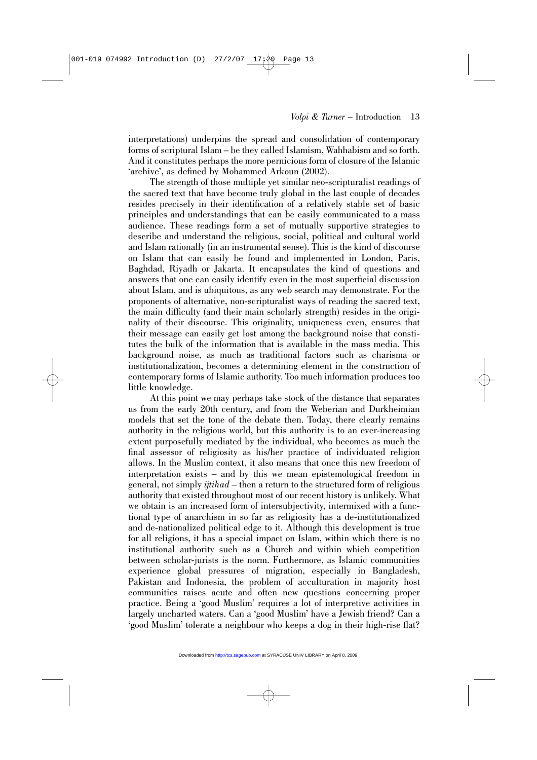interpretations) underpins the spread and consolidation of contemporary forms of scriptural Islam – be they called Islamism, Wahhabism and so forth. And it constitutes perhaps the more pernicious form of closure of the Islamic 'archive', as defined by Mohammed Arkoun (2002).

The strength of those multiple yet similar neo-scripturalist readings of the sacred text that have become truly global in the last couple of decades resides precisely in their identification of a relatively stable set of basic principles and understandings that can be easily communicated to a mass audience. These readings form a set of mutually supportive strategies to describe and understand the religious, social, political and cultural world and Islam rationally (in an instrumental sense). This is the kind of discourse on Islam that can easily be found and implemented in London, Paris, Baghdad, Riyadh or Jakarta. It encapsulates the kind of questions and answers that one can easily identify even in the most superficial discussion about Islam, and is ubiquitous, as any web search may demonstrate. For the proponents of alternative, non-scripturalist ways of reading the sacred text, the main difficulty (and their main scholarly strength) resides in the originality of their discourse. This originality, uniqueness even, ensures that their message can easily get lost among the background noise that constitutes the bulk of the information that is available in the mass media. This background noise, as much as traditional factors such as charisma or institutionalization, becomes a determining element in the construction of contemporary forms of Islamic authority. Too much information produces too little knowledge.

At this point we may perhaps take stock of the distance that separates us from the early 20th century, and from the Weberian and Durkheimian models that set the tone of the debate then. Today, there clearly remains authority in the religious world, but this authority is to an ever-increasing extent purposefully mediated by the individual, who becomes as much the final assessor of religiosity as his/her practice of individuated religion allows. In the Muslim context, it also means that once this new freedom of interpretation exists – and by this we mean epistemological freedom in general, not simply *ijtihad* – then a return to the structured form of religious authority that existed throughout most of our recent history is unlikely. What we obtain is an increased form of intersubjectivity, intermixed with a functional type of anarchism in so far as religiosity has a de-institutionalized and de-nationalized political edge to it. Although this development is true for all religions, it has a special impact on Islam, within which there is no institutional authority such as a Church and within which competition between scholar-jurists is the norm. Furthermore, as Islamic communities experience global pressures of migration, especially in Bangladesh, Pakistan and Indonesia, the problem of acculturation in majority host communities raises acute and often new questions concerning proper practice. Being a 'good Muslim' requires a lot of interpretive activities in largely uncharted waters. Can a 'good Muslim' have a Jewish friend? Can a 'good Muslim' tolerate a neighbour who keeps a dog in their high-rise flat?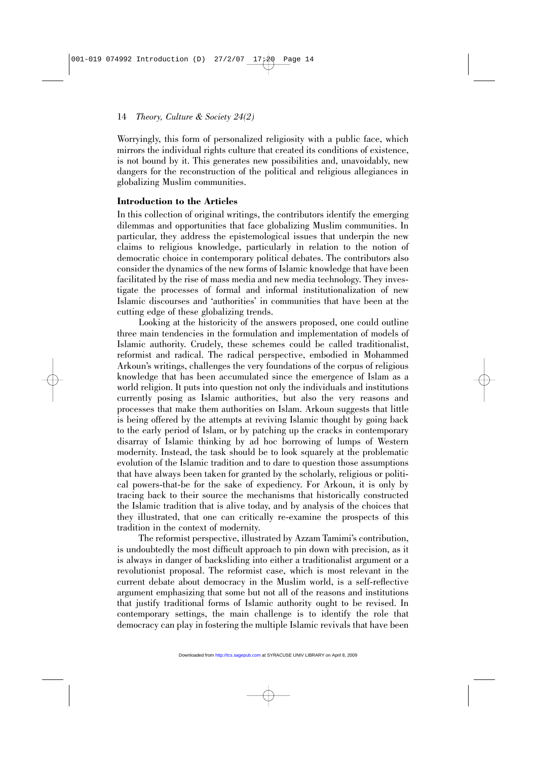Worryingly, this form of personalized religiosity with a public face, which mirrors the individual rights culture that created its conditions of existence, is not bound by it. This generates new possibilities and, unavoidably, new dangers for the reconstruction of the political and religious allegiances in globalizing Muslim communities.

#### **Introduction to the Articles**

In this collection of original writings, the contributors identify the emerging dilemmas and opportunities that face globalizing Muslim communities. In particular, they address the epistemological issues that underpin the new claims to religious knowledge, particularly in relation to the notion of democratic choice in contemporary political debates. The contributors also consider the dynamics of the new forms of Islamic knowledge that have been facilitated by the rise of mass media and new media technology. They investigate the processes of formal and informal institutionalization of new Islamic discourses and 'authorities' in communities that have been at the cutting edge of these globalizing trends.

Looking at the historicity of the answers proposed, one could outline three main tendencies in the formulation and implementation of models of Islamic authority. Crudely, these schemes could be called traditionalist, reformist and radical. The radical perspective, embodied in Mohammed Arkoun's writings, challenges the very foundations of the corpus of religious knowledge that has been accumulated since the emergence of Islam as a world religion. It puts into question not only the individuals and institutions currently posing as Islamic authorities, but also the very reasons and processes that make them authorities on Islam. Arkoun suggests that little is being offered by the attempts at reviving Islamic thought by going back to the early period of Islam, or by patching up the cracks in contemporary disarray of Islamic thinking by ad hoc borrowing of lumps of Western modernity. Instead, the task should be to look squarely at the problematic evolution of the Islamic tradition and to dare to question those assumptions that have always been taken for granted by the scholarly, religious or political powers-that-be for the sake of expediency. For Arkoun, it is only by tracing back to their source the mechanisms that historically constructed the Islamic tradition that is alive today, and by analysis of the choices that they illustrated, that one can critically re-examine the prospects of this tradition in the context of modernity.

The reformist perspective, illustrated by Azzam Tamimi's contribution, is undoubtedly the most difficult approach to pin down with precision, as it is always in danger of backsliding into either a traditionalist argument or a revolutionist proposal. The reformist case, which is most relevant in the current debate about democracy in the Muslim world, is a self-reflective argument emphasizing that some but not all of the reasons and institutions that justify traditional forms of Islamic authority ought to be revised. In contemporary settings, the main challenge is to identify the role that democracy can play in fostering the multiple Islamic revivals that have been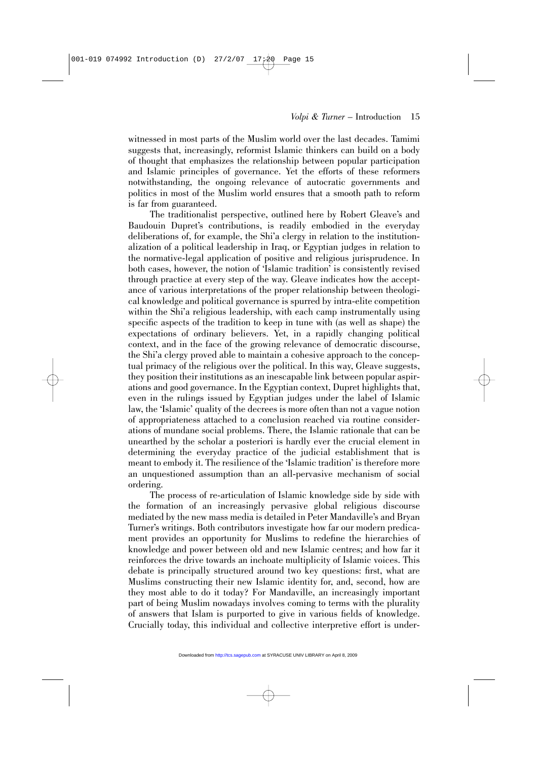witnessed in most parts of the Muslim world over the last decades. Tamimi suggests that, increasingly, reformist Islamic thinkers can build on a body of thought that emphasizes the relationship between popular participation and Islamic principles of governance. Yet the efforts of these reformers notwithstanding, the ongoing relevance of autocratic governments and politics in most of the Muslim world ensures that a smooth path to reform is far from guaranteed.

The traditionalist perspective, outlined here by Robert Gleave's and Baudouin Dupret's contributions, is readily embodied in the everyday deliberations of, for example, the Shi'a clergy in relation to the institutionalization of a political leadership in Iraq, or Egyptian judges in relation to the normative-legal application of positive and religious jurisprudence. In both cases, however, the notion of 'Islamic tradition' is consistently revised through practice at every step of the way. Gleave indicates how the acceptance of various interpretations of the proper relationship between theological knowledge and political governance is spurred by intra-elite competition within the Shi'a religious leadership, with each camp instrumentally using specific aspects of the tradition to keep in tune with (as well as shape) the expectations of ordinary believers. Yet, in a rapidly changing political context, and in the face of the growing relevance of democratic discourse, the Shi'a clergy proved able to maintain a cohesive approach to the conceptual primacy of the religious over the political. In this way, Gleave suggests, they position their institutions as an inescapable link between popular aspirations and good governance. In the Egyptian context, Dupret highlights that, even in the rulings issued by Egyptian judges under the label of Islamic law, the 'Islamic' quality of the decrees is more often than not a vague notion of appropriateness attached to a conclusion reached via routine considerations of mundane social problems. There, the Islamic rationale that can be unearthed by the scholar a posteriori is hardly ever the crucial element in determining the everyday practice of the judicial establishment that is meant to embody it. The resilience of the 'Islamic tradition' is therefore more an unquestioned assumption than an all-pervasive mechanism of social ordering.

The process of re-articulation of Islamic knowledge side by side with the formation of an increasingly pervasive global religious discourse mediated by the new mass media is detailed in Peter Mandaville's and Bryan Turner's writings. Both contributors investigate how far our modern predicament provides an opportunity for Muslims to redefine the hierarchies of knowledge and power between old and new Islamic centres; and how far it reinforces the drive towards an inchoate multiplicity of Islamic voices. This debate is principally structured around two key questions: first, what are Muslims constructing their new Islamic identity for, and, second, how are they most able to do it today? For Mandaville, an increasingly important part of being Muslim nowadays involves coming to terms with the plurality of answers that Islam is purported to give in various fields of knowledge. Crucially today, this individual and collective interpretive effort is under-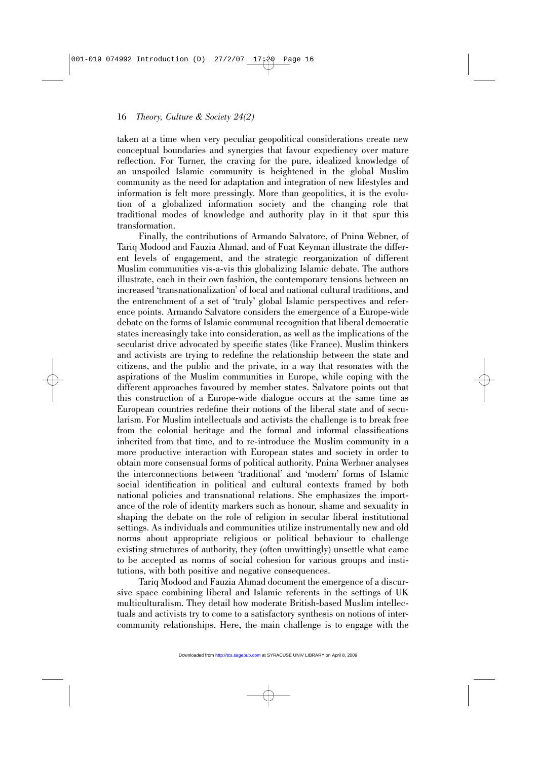taken at a time when very peculiar geopolitical considerations create new conceptual boundaries and synergies that favour expediency over mature reflection. For Turner, the craving for the pure, idealized knowledge of an unspoiled Islamic community is heightened in the global Muslim community as the need for adaptation and integration of new lifestyles and information is felt more pressingly. More than geopolitics, it is the evolution of a globalized information society and the changing role that traditional modes of knowledge and authority play in it that spur this transformation.

Finally, the contributions of Armando Salvatore, of Pnina Webner, of Tariq Modood and Fauzia Ahmad, and of Fuat Keyman illustrate the different levels of engagement, and the strategic reorganization of different Muslim communities vis-a-vis this globalizing Islamic debate. The authors illustrate, each in their own fashion, the contemporary tensions between an increased 'transnationalization' of local and national cultural traditions, and the entrenchment of a set of 'truly' global Islamic perspectives and reference points. Armando Salvatore considers the emergence of a Europe-wide debate on the forms of Islamic communal recognition that liberal democratic states increasingly take into consideration, as well as the implications of the secularist drive advocated by specific states (like France). Muslim thinkers and activists are trying to redefine the relationship between the state and citizens, and the public and the private, in a way that resonates with the aspirations of the Muslim communities in Europe, while coping with the different approaches favoured by member states. Salvatore points out that this construction of a Europe-wide dialogue occurs at the same time as European countries redefine their notions of the liberal state and of secularism. For Muslim intellectuals and activists the challenge is to break free from the colonial heritage and the formal and informal classifications inherited from that time, and to re-introduce the Muslim community in a more productive interaction with European states and society in order to obtain more consensual forms of political authority. Pnina Werbner analyses the interconnections between 'traditional' and 'modern' forms of Islamic social identification in political and cultural contexts framed by both national policies and transnational relations. She emphasizes the importance of the role of identity markers such as honour, shame and sexuality in shaping the debate on the role of religion in secular liberal institutional settings. As individuals and communities utilize instrumentally new and old norms about appropriate religious or political behaviour to challenge existing structures of authority, they (often unwittingly) unsettle what came to be accepted as norms of social cohesion for various groups and institutions, with both positive and negative consequences.

Tariq Modood and Fauzia Ahmad document the emergence of a discursive space combining liberal and Islamic referents in the settings of UK multiculturalism. They detail how moderate British-based Muslim intellectuals and activists try to come to a satisfactory synthesis on notions of intercommunity relationships. Here, the main challenge is to engage with the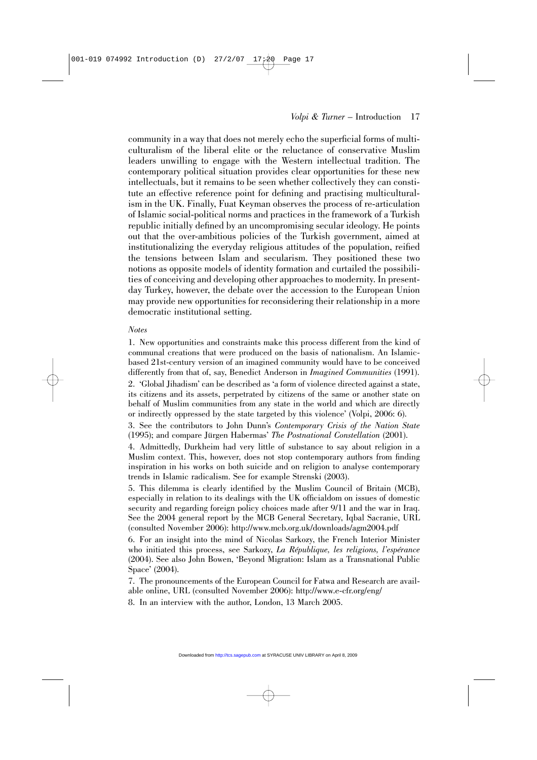community in a way that does not merely echo the superficial forms of multiculturalism of the liberal elite or the reluctance of conservative Muslim leaders unwilling to engage with the Western intellectual tradition. The contemporary political situation provides clear opportunities for these new intellectuals, but it remains to be seen whether collectively they can constitute an effective reference point for defining and practising multiculturalism in the UK. Finally, Fuat Keyman observes the process of re-articulation of Islamic social-political norms and practices in the framework of a Turkish republic initially defined by an uncompromising secular ideology. He points out that the over-ambitious policies of the Turkish government, aimed at institutionalizing the everyday religious attitudes of the population, reified the tensions between Islam and secularism. They positioned these two notions as opposite models of identity formation and curtailed the possibilities of conceiving and developing other approaches to modernity. In presentday Turkey, however, the debate over the accession to the European Union may provide new opportunities for reconsidering their relationship in a more democratic institutional setting.

*Notes*

1. New opportunities and constraints make this process different from the kind of communal creations that were produced on the basis of nationalism. An Islamicbased 21st-century version of an imagined community would have to be conceived differently from that of, say, Benedict Anderson in *Imagined Communities* (1991).

2. 'Global Jihadism' can be described as 'a form of violence directed against a state, its citizens and its assets, perpetrated by citizens of the same or another state on behalf of Muslim communities from any state in the world and which are directly or indirectly oppressed by the state targeted by this violence' (Volpi, 2006: 6).

3. See the contributors to John Dunn's *Contemporary Crisis of the Nation State* (1995); and compare Jürgen Habermas' *The Postnational Constellation* (2001).

4. Admittedly, Durkheim had very little of substance to say about religion in a Muslim context. This, however, does not stop contemporary authors from finding inspiration in his works on both suicide and on religion to analyse contemporary trends in Islamic radicalism. See for example Strenski (2003).

5. This dilemma is clearly identified by the Muslim Council of Britain (MCB), especially in relation to its dealings with the UK officialdom on issues of domestic security and regarding foreign policy choices made after 9/11 and the war in Iraq. See the 2004 general report by the MCB General Secretary, Iqbal Sacranie, URL (consulted November 2006): http://www.mcb.org.uk/downloads/agm2004.pdf

6. For an insight into the mind of Nicolas Sarkozy, the French Interior Minister who initiated this process, see Sarkozy, *La République, les religions, l'espérance* (2004). See also John Bowen, 'Beyond Migration: Islam as a Transnational Public Space' (2004).

7. The pronouncements of the European Council for Fatwa and Research are available online, URL (consulted November 2006): http://www.e-cfr.org/eng/

8. In an interview with the author, London, 13 March 2005.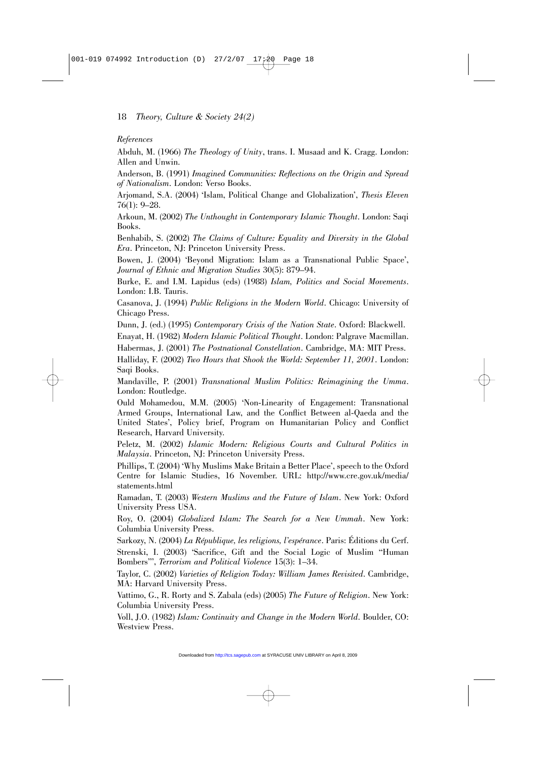*References*

Abduh, M. (1966) *The Theology of Unity*, trans. I. Musaad and K. Cragg. London: Allen and Unwin.

Anderson, B. (1991) *Imagined Communities: Reflections on the Origin and Spread of Nationalism*. London: Verso Books.

Arjomand, S.A. (2004) 'Islam, Political Change and Globalization', *Thesis Eleven* 76(1): 9–28.

Arkoun, M. (2002) *The Unthought in Contemporary Islamic Thought*. London: Saqi Books.

Benhabib, S. (2002) *The Claims of Culture: Equality and Diversity in the Global Era*. Princeton, NJ: Princeton University Press.

Bowen, J. (2004) 'Beyond Migration: Islam as a Transnational Public Space', *Journal of Ethnic and Migration Studies* 30(5): 879–94.

Burke, E. and I.M. Lapidus (eds) (1988) *Islam, Politics and Social Movements*. London: I.B. Tauris.

Casanova, J. (1994) *Public Religions in the Modern World*. Chicago: University of Chicago Press.

Dunn, J. (ed.) (1995) *Contemporary Crisis of the Nation State*. Oxford: Blackwell.

Enayat, H. (1982) *Modern Islamic Political Thought*. London: Palgrave Macmillan. Habermas, J. (2001) *The Postnational Constellation*. Cambridge, MA: MIT Press.

Halliday, F. (2002) *Two Hours that Shook the World: September 11, 2001*. London: Saqi Books.

Mandaville, P. (2001) *Transnational Muslim Politics: Reimagining the Umma*. London: Routledge.

Ould Mohamedou, M.M. (2005) 'Non-Linearity of Engagement: Transnational Armed Groups, International Law, and the Conflict Between al-Qaeda and the United States', Policy brief, Program on Humanitarian Policy and Conflict Research, Harvard University.

Peletz, M. (2002) *Islamic Modern: Religious Courts and Cultural Politics in Malaysia*. Princeton, NJ: Princeton University Press.

Phillips, T. (2004) 'Why Muslims Make Britain a Better Place', speech to the Oxford Centre for Islamic Studies, 16 November. URL: http://www.cre.gov.uk/media/ statements.html

Ramadan, T. (2003) *Western Muslims and the Future of Islam*. New York: Oxford University Press USA.

Roy, O. (2004) *Globalized Islam: The Search for a New Ummah*. New York: Columbia University Press.

Sarkozy, N. (2004) *La République, les religions, l'espérance*. Paris: Éditions du Cerf. Strenski, I. (2003) 'Sacrifice, Gift and the Social Logic of Muslim "Human Bombers"', *Terrorism and Political Violence* 15(3): 1–34.

Taylor, C. (2002) *Varieties of Religion Today: William James Revisited*. Cambridge, MA: Harvard University Press.

Vattimo, G., R. Rorty and S. Zabala (eds) (2005) *The Future of Religion*. New York: Columbia University Press.

Voll, J.O. (1982) *Islam: Continuity and Change in the Modern World*. Boulder, CO: Westview Press.